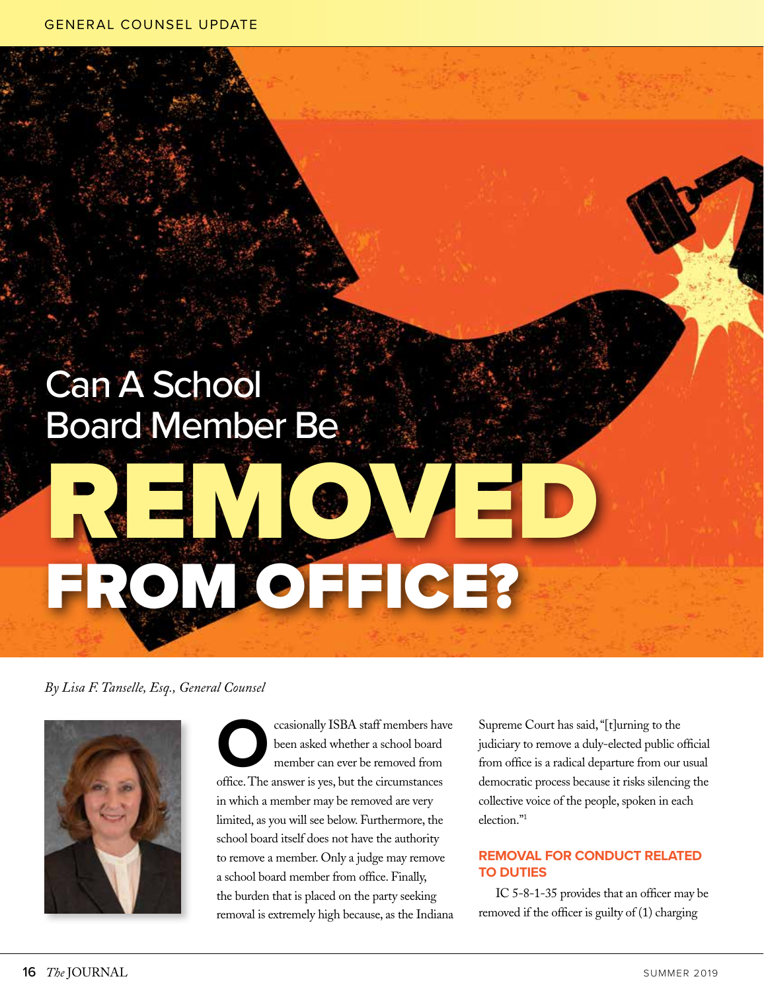## Can A School Board Member Be

# REMOVED FROM OFFICE?

*By Lisa F. Tanselle, Esq., General Counsel*



ccasionally ISBA staff members have been asked whether a school board member can ever be removed from office. The answer is yes, but the circumstances in which a member may be removed are very limited, as you will see below. Furthermore, the school board itself does not have the authority to remove a member. Only a judge may remove a school board member from office. Finally, the burden that is placed on the party seeking removal is extremely high because, as the Indiana

Supreme Court has said, "[t]urning to the judiciary to remove a duly-elected public official from office is a radical departure from our usual democratic process because it risks silencing the collective voice of the people, spoken in each election."1

### **REMOVAL FOR CONDUCT RELATED TO DUTIES**

IC 5-8-1-35 provides that an officer may be removed if the officer is guilty of (1) charging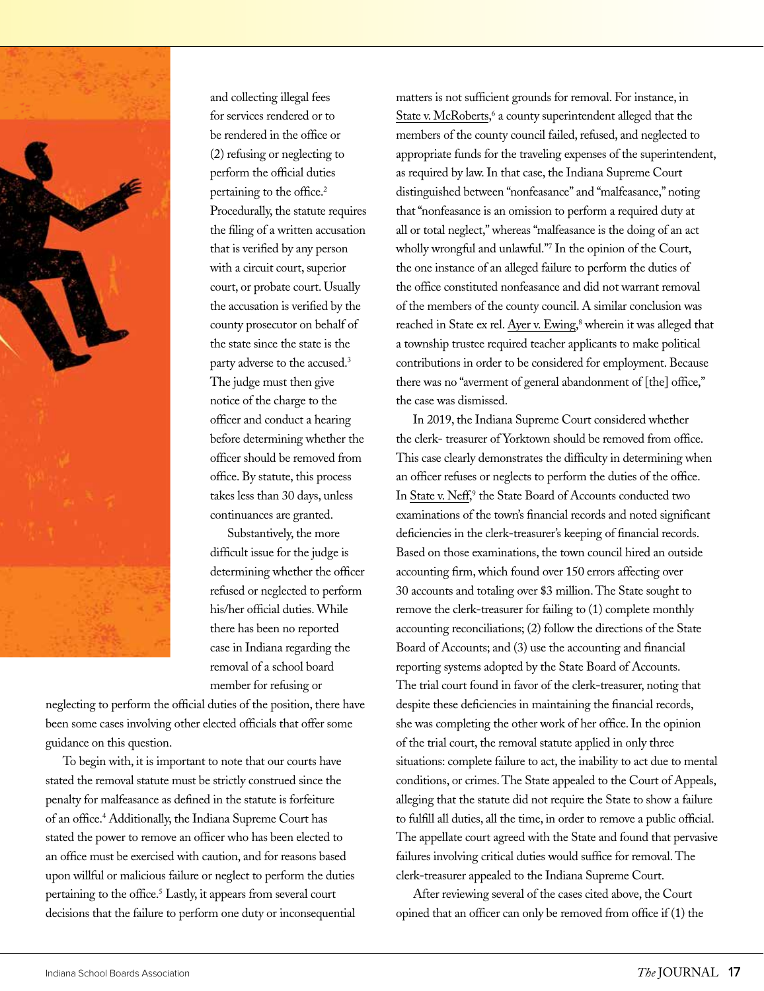

and collecting illegal fees for services rendered or to be rendered in the office or (2) refusing or neglecting to perform the official duties pertaining to the office.<sup>2</sup> Procedurally, the statute requires the filing of a written accusation that is verified by any person with a circuit court, superior court, or probate court. Usually the accusation is verified by the county prosecutor on behalf of the state since the state is the party adverse to the accused.3 The judge must then give notice of the charge to the officer and conduct a hearing before determining whether the officer should be removed from office. By statute, this process takes less than 30 days, unless continuances are granted.

Substantively, the more difficult issue for the judge is determining whether the officer refused or neglected to perform his/her official duties. While there has been no reported case in Indiana regarding the removal of a school board member for refusing or

neglecting to perform the official duties of the position, there have been some cases involving other elected officials that offer some guidance on this question.

To begin with, it is important to note that our courts have stated the removal statute must be strictly construed since the penalty for malfeasance as defined in the statute is forfeiture of an office.4 Additionally, the Indiana Supreme Court has stated the power to remove an officer who has been elected to an office must be exercised with caution, and for reasons based upon willful or malicious failure or neglect to perform the duties pertaining to the office.<sup>5</sup> Lastly, it appears from several court decisions that the failure to perform one duty or inconsequential matters is not sufficient grounds for removal. For instance, in State v. McRoberts,<sup>6</sup> a county superintendent alleged that the members of the county council failed, refused, and neglected to appropriate funds for the traveling expenses of the superintendent, as required by law. In that case, the Indiana Supreme Court distinguished between "nonfeasance" and "malfeasance," noting that "nonfeasance is an omission to perform a required duty at all or total neglect," whereas "malfeasance is the doing of an act wholly wrongful and unlawful."7 In the opinion of the Court, the one instance of an alleged failure to perform the duties of the office constituted nonfeasance and did not warrant removal of the members of the county council. A similar conclusion was reached in State ex rel. Ayer v. Ewing,<sup>8</sup> wherein it was alleged that a township trustee required teacher applicants to make political contributions in order to be considered for employment. Because there was no "averment of general abandonment of [the] office," the case was dismissed.

In 2019, the Indiana Supreme Court considered whether the clerk- treasurer of Yorktown should be removed from office. This case clearly demonstrates the difficulty in determining when an officer refuses or neglects to perform the duties of the office. In State v. Neff,<sup>9</sup> the State Board of Accounts conducted two examinations of the town's financial records and noted significant deficiencies in the clerk-treasurer's keeping of financial records. Based on those examinations, the town council hired an outside accounting firm, which found over 150 errors affecting over 30 accounts and totaling over \$3 million. The State sought to remove the clerk-treasurer for failing to (1) complete monthly accounting reconciliations; (2) follow the directions of the State Board of Accounts; and (3) use the accounting and financial reporting systems adopted by the State Board of Accounts. The trial court found in favor of the clerk-treasurer, noting that despite these deficiencies in maintaining the financial records, she was completing the other work of her office. In the opinion of the trial court, the removal statute applied in only three situations: complete failure to act, the inability to act due to mental conditions, or crimes. The State appealed to the Court of Appeals, alleging that the statute did not require the State to show a failure to fulfill all duties, all the time, in order to remove a public official. The appellate court agreed with the State and found that pervasive failures involving critical duties would suffice for removal. The clerk-treasurer appealed to the Indiana Supreme Court.

After reviewing several of the cases cited above, the Court opined that an officer can only be removed from office if (1) the